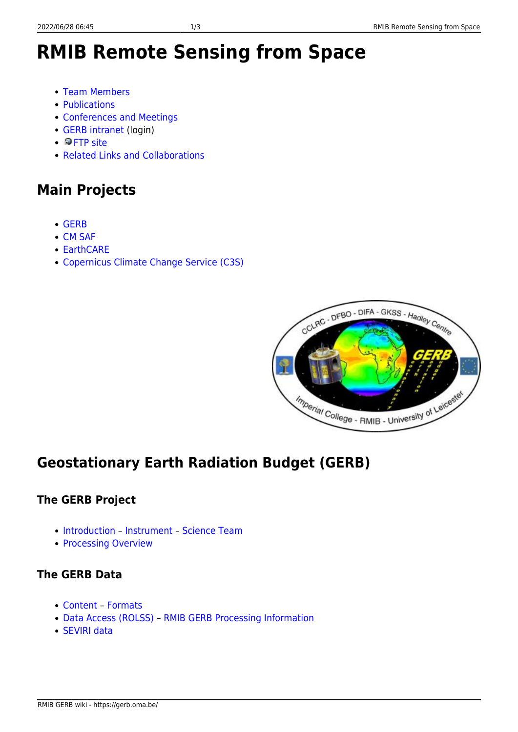# **RMIB Remote Sensing from Space**

- [Team Members](https://gerb.oma.be/doku.php?id=team)
- [Publications](https://gerb.oma.be/doku.php?id=publications)
- [Conferences and Meetings](https://gerb.oma.be/doku.php?id=conferences)
- [GERB intranet](https://gerb.oma.be/doku.php?id=intranet:intranet) (login)
- **DFTP** site
- [Related Links and Collaborations](https://gerb.oma.be/doku.php?id=related_links)

## **Main Projects**

- [GERB](#page-0-0)
- [CM SAF](https://www.cmsaf.eu)
- [EarthCARE](http://www.esa.int/Applications/Observing_the_Earth/The_Living_Planet_Programme/Earth_Explorers/EarthCARE)
- [Copernicus Climate Change Service \(C3S\)](https://climate.copernicus.eu/)



# <span id="page-0-0"></span>**Geostationary Earth Radiation Budget (GERB)**

## **The GERB Project**

- [Introduction](https://gerb.oma.be/doku.php?id=introduction)  [Instrument](https://gerb.oma.be/doku.php?id=gerb_instrument) [Science Team](https://gerb.oma.be/doku.php?id=science_team)
- [Processing Overview](https://gerb.oma.be/doku.php?id=processing_overview)

## **The GERB Data**

- [Content](https://gerb.oma.be/doku.php?id=gerb_content) – [Formats](https://gerb.oma.be/doku.php?id=gerb_formats)
- [Data Access \(ROLSS\)](https://gerb.oma.be/doku.php?id=data_access) – [RMIB GERB Processing Information](https://gerb.oma.be/doku.php?id=processing_info)
- [SEVIRI data](https://gerb.oma.be/doku.php?id=seviri_data)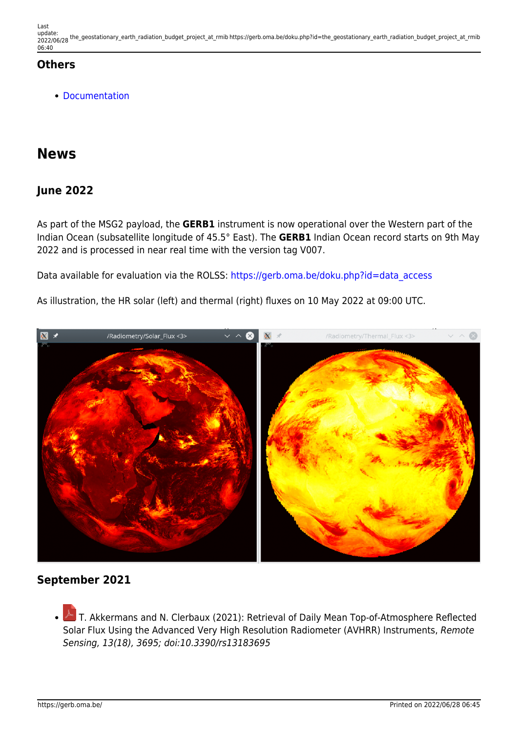Last update: 2022/06/28 the\_geostationary\_earth\_radiation\_budget\_project\_at\_rmib https://gerb.oma.be/doku.php?id=the\_geostationary\_earth\_radiation\_budget\_project\_at\_rmib 06:40

### **Others**

[Documentation](https://gerb.oma.be/doku.php?id=documentation)

## **News**

## **June 2022**

As part of the MSG2 payload, the **GERB1** instrument is now operational over the Western part of the Indian Ocean (subsatellite longitude of 45.5° East). The **GERB1** Indian Ocean record starts on 9th May 2022 and is processed in near real time with the version tag V007.

Data available for evaluation via the ROLSS: [https://gerb.oma.be/doku.php?id=data\\_access](https://gerb.oma.be/doku.php?id=data_access)

As illustration, the HR solar (left) and thermal (right) fluxes on 10 May 2022 at 09:00 UTC.



### **September 2021**

 $\triangle$ T. Akkermans and N. Clerbaux (2021): Retrieval of Daily Mean Top-of-Atmosphere Reflected Solar Flux Using the Advanced Very High Resolution Radiometer (AVHRR) Instruments, Remote Sensing, 13(18), 3695; doi:10.3390/rs13183695